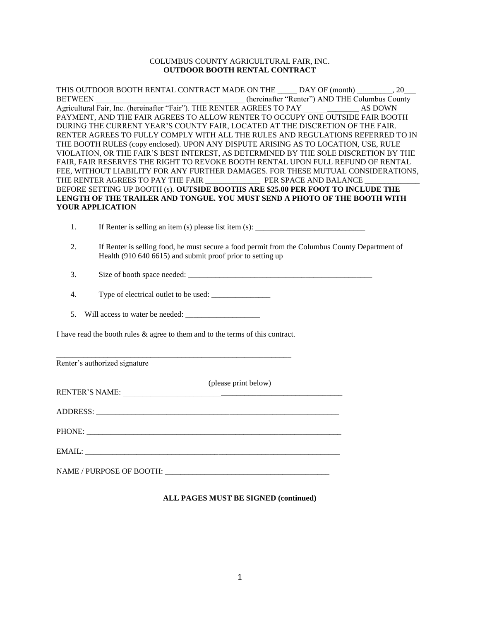## COLUMBUS COUNTY AGRICULTURAL FAIR, INC. **OUTDOOR BOOTH RENTAL CONTRACT**

THIS OUTDOOR BOOTH RENTAL CONTRACT MADE ON THE \_\_\_\_\_ DAY OF (month) \_\_\_\_\_\_\_\_\_, 20\_\_\_ BETWEEN THE Columbus County Agricultural Fair, Inc. (hereinafter "Fair"). THE RENTER AGREES TO PAY AS DOWN PAYMENT, AND THE FAIR AGREES TO ALLOW RENTER TO OCCUPY ONE OUTSIDE FAIR BOOTH DURING THE CURRENT YEAR'S COUNTY FAIR, LOCATED AT THE DISCRETION OF THE FAIR. RENTER AGREES TO FULLY COMPLY WITH ALL THE RULES AND REGULATIONS REFERRED TO IN THE BOOTH RULES (copy enclosed). UPON ANY DISPUTE ARISING AS TO LOCATION, USE, RULE VIOLATION, OR THE FAIR'S BEST INTEREST, AS DETERMINED BY THE SOLE DISCRETION BY THE FAIR, FAIR RESERVES THE RIGHT TO REVOKE BOOTH RENTAL UPON FULL REFUND OF RENTAL FEE, WITHOUT LIABILITY FOR ANY FURTHER DAMAGES. FOR THESE MUTUAL CONSIDERATIONS, THE RENTER AGREES TO PAY THE FAIR PER SPACE AND BALANCE BEFORE SETTING UP BOOTH (s). **OUTSIDE BOOTHS ARE \$25.00 PER FOOT TO INCLUDE THE LENGTH OF THE TRAILER AND TONGUE. YOU MUST SEND A PHOTO OF THE BOOTH WITH YOUR APPLICATION**

1. If Renter is selling an item (s) please list item  $(s)$ :

- 2. If Renter is selling food, he must secure a food permit from the Columbus County Department of Health (910 640 6615) and submit proof prior to setting up
- 3. Size of booth space needed: \_\_\_\_\_\_\_\_\_\_\_\_\_\_\_\_\_\_\_\_\_\_\_\_\_\_\_\_\_\_\_\_\_\_\_\_\_\_\_\_\_\_\_\_\_\_\_
- 4. Type of electrical outlet to be used:
- 5. Will access to water be needed:

I have read the booth rules & agree to them and to the terms of this contract.

\_\_\_\_\_\_\_\_\_\_\_\_\_\_\_\_\_\_\_\_\_\_\_\_\_\_\_\_\_\_\_\_\_\_\_\_\_\_\_\_\_\_\_\_\_\_\_\_\_\_\_\_\_\_\_\_\_\_\_\_

| Renter's authorized signature |                      |
|-------------------------------|----------------------|
|                               | (please print below) |
|                               |                      |
|                               |                      |
|                               |                      |
|                               |                      |

## **ALL PAGES MUST BE SIGNED (continued)**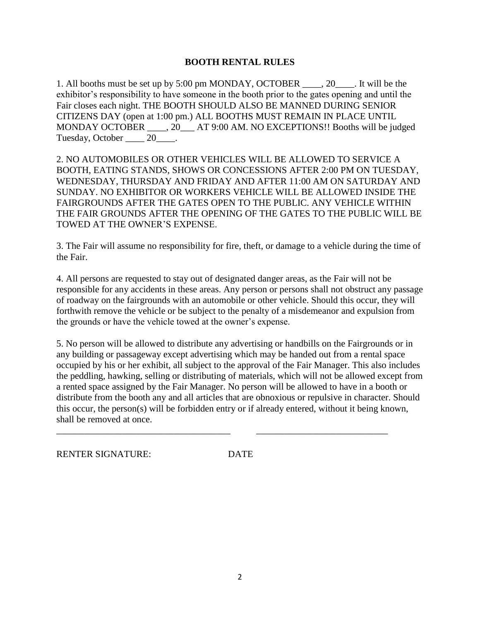## **BOOTH RENTAL RULES**

1. All booths must be set up by 5:00 pm MONDAY, OCTOBER \_\_\_\_, 20\_\_\_\_. It will be the exhibitor's responsibility to have someone in the booth prior to the gates opening and until the Fair closes each night. THE BOOTH SHOULD ALSO BE MANNED DURING SENIOR CITIZENS DAY (open at 1:00 pm.) ALL BOOTHS MUST REMAIN IN PLACE UNTIL MONDAY OCTOBER \_\_\_\_, 20\_\_\_ AT 9:00 AM. NO EXCEPTIONS!! Booths will be judged Tuesday, October \_\_\_\_\_ 20\_\_\_\_.

2. NO AUTOMOBILES OR OTHER VEHICLES WILL BE ALLOWED TO SERVICE A BOOTH, EATING STANDS, SHOWS OR CONCESSIONS AFTER 2:00 PM ON TUESDAY, WEDNESDAY, THURSDAY AND FRIDAY AND AFTER 11:00 AM ON SATURDAY AND SUNDAY. NO EXHIBITOR OR WORKERS VEHICLE WILL BE ALLOWED INSIDE THE FAIRGROUNDS AFTER THE GATES OPEN TO THE PUBLIC. ANY VEHICLE WITHIN THE FAIR GROUNDS AFTER THE OPENING OF THE GATES TO THE PUBLIC WILL BE TOWED AT THE OWNER'S EXPENSE.

3. The Fair will assume no responsibility for fire, theft, or damage to a vehicle during the time of the Fair.

4. All persons are requested to stay out of designated danger areas, as the Fair will not be responsible for any accidents in these areas. Any person or persons shall not obstruct any passage of roadway on the fairgrounds with an automobile or other vehicle. Should this occur, they will forthwith remove the vehicle or be subject to the penalty of a misdemeanor and expulsion from the grounds or have the vehicle towed at the owner's expense.

5. No person will be allowed to distribute any advertising or handbills on the Fairgrounds or in any building or passageway except advertising which may be handed out from a rental space occupied by his or her exhibit, all subject to the approval of the Fair Manager. This also includes the peddling, hawking, selling or distributing of materials, which will not be allowed except from a rented space assigned by the Fair Manager. No person will be allowed to have in a booth or distribute from the booth any and all articles that are obnoxious or repulsive in character. Should this occur, the person(s) will be forbidden entry or if already entered, without it being known, shall be removed at once.

RENTER SIGNATURE: DATE

\_\_\_\_\_\_\_\_\_\_\_\_\_\_\_\_\_\_\_\_\_\_\_\_\_\_\_\_\_\_\_\_\_\_\_\_\_ \_\_\_\_\_\_\_\_\_\_\_\_\_\_\_\_\_\_\_\_\_\_\_\_\_\_\_\_